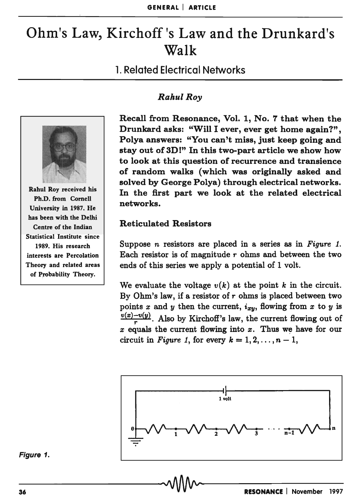# Ohm's Law, Kirchoff's Law and the Drunkard's Walk

# 1. Related Electrical Networks



Rahul Roy received his Ph.D. from Cornell University in 1987. He has been with the Delhi Centre of the Indian Statistical Institute since 1989. His research interests are Percolation Theory and related areas of Probability Theory.

# **Rahul Roy**

Recall from Resonance, Vol. 1, No. 7 that when the Drunkard asks: "Will I ever, ever get home again?", Polya answers: "You can't miss, just keep going and stay out of 3D!" In this two-part article we show how to look at this question of recurrence and transience of random walks (which was originally asked and solved by George Polya) through electrical networks. In the first part we look at the related electrical networks.

# Reticulated Resistors

Suppose *n* resistors are placed in a series as in *Figure 1*. Each resistor is of magnitude  $r$  ohms and between the two ends of this series we apply a potential of 1 volt.

We evaluate the voltage  $v(k)$  at the point k in the circuit. By Ohm's law, if a resistor of  $r$  ohms is placed between two points  $x$  and  $y$  then the current,  $i_{xy}$ , flowing from  $x$  to  $y$  is  $\frac{v(x)-v(y)}{x}$ . Also by Kirchoff's law, the current flowing out of  $x$  equals the current flowing into  $x$ . Thus we have for our circuit in *Figure 1*, for every  $k = 1, 2, ..., n - 1$ ,



Figure 1.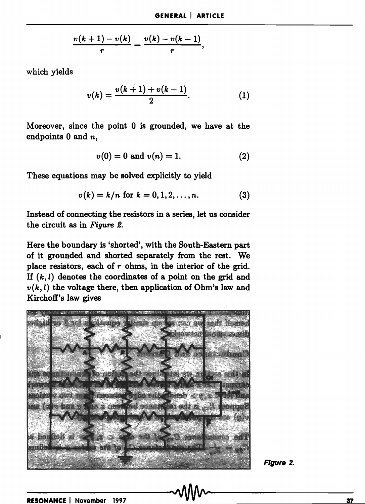$$
\frac{v(k+1)-v(k)}{r}=\frac{v(k)-v(k-1)}{r},
$$

which yields

$$
v(k) = \frac{v(k+1) + v(k-1)}{2}.
$$
 (1)

Moreover, since the point 0 is grounded, we have at the endpoints 0 and *n,* 

$$
v(0) = 0 \text{ and } v(n) = 1. \tag{2}
$$

These equations may be solved explicitly to yield

$$
v(k) = k/n \text{ for } k = 0, 1, 2, ..., n. \tag{3}
$$

Instead of connecting the resistors in a series, let us consider the circuit as in *Figure 2.* 

Here the boundary is 'shorted', with the South-Eastern part of it grounded and shorted separately from the rest. We place resistors, each of  $r$  ohms, in the interior of the grid. If  $(k, l)$  denotes the coordinates of a point on the grid and  $v(k, l)$  the voltage there, then application of Ohm's law and Kirchoff's law gives



Figure 2.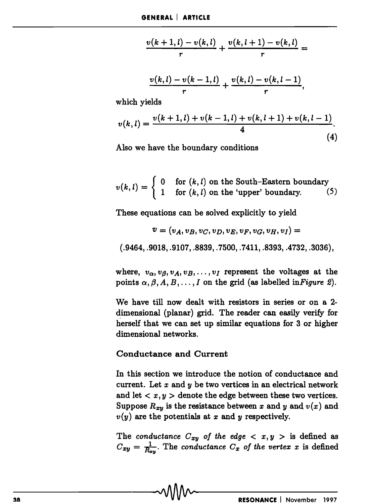$$
\frac{v(k+1,l)-v(k,l)}{r} + \frac{v(k,l+1)-v(k,l)}{r} =
$$

$$
\frac{v(k,l)-v(k-1,l)}{r}+\frac{v(k,l)-v(k,l-1)}{r},
$$

which yields

$$
v(k,l) = \frac{v(k+1,l) + v(k-1,l) + v(k,l+1) + v(k,l-1)}{4}.
$$
\n(4)

Also we have the boundary conditions

$$
v(k,l) = \begin{cases} 0 & \text{for } (k,l) \text{ on the South–Eastern boundary} \\ 1 & \text{for } (k,l) \text{ on the 'upper' boundary.} \end{cases}
$$
 (5)

These equations can be solved explicitly to yield

$$
\boldsymbol{v} = (v_A, v_B, v_C, v_D, v_E, v_F, v_G, v_H, v_I) =
$$

(.9464, .9018, .9107, .8839, .7500, .7411, .8393, .4732, .3036),

where,  $v_{\alpha}, v_{\beta}, v_A, v_B, \ldots, v_I$  represent the voltages at the points  $\alpha, \beta, A, B, \ldots, I$  on the grid (as labelled in *Figure 2*).

We have till now dealt with resistors in series or on a 2 dimensional (planar) grid. The reader can easily verify for herself that we can set up similar equations for 3 or higher dimensional networks.

### Conductance and Current

In this section we introduce the notion of conductance and current. Let *x* and y be two vertices in an electrical network and let  $\langle x, y \rangle$  denote the edge between these two vertices. Suppose  $R_{xy}$  is the resistance between x and y and  $v(x)$  and  $v(y)$  are the potentials at x and y respectively.

The *conductance*  $C_{xy}$  of the edge  $\langle x, y \rangle$  is defined as  $C_{xy} = \frac{1}{R_{xy}}$ . The *conductance*  $C_x$  of the vertex x is defined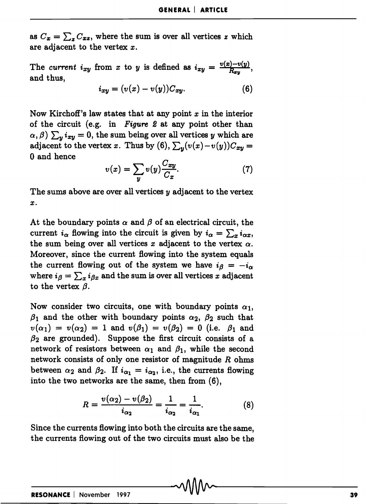as  $C_x = \sum_z C_{xz}$ , where the sum is over all vertices x which are adjacent to the vertex x.

The *current*  $i_{xy}$  from *x* to *y* is defined as  $i_{xy} = \frac{v(x)-v(y)}{R_{xx}}$ , and thus,

$$
i_{xy} = (v(x) - v(y))C_{xy}.
$$
 (6)

Now Kirchoff's law states that at any point *x* in the interior of the circuit (e.g. in *Figure 2* at any point other than  $\alpha$ ,  $\beta$ )  $\sum_{y} i_{xy} = 0$ , the sum being over all vertices *y* which are adjacent to the vertex *x*. Thus by (6),  $\sum_{y} (v(x)-v(y))C_{xy} =$ 0 and hence

$$
v(x) = \sum_{y} v(y) \frac{C_{xy}}{C_x}.\tag{7}
$$

The sums above are over all vertices  $y$  adjacent to the vertex *x.* 

At the boundary points  $\alpha$  and  $\beta$  of an electrical circuit, the current  $i_{\alpha}$  flowing into the circuit is given by  $i_{\alpha} = \sum_{x} i_{\alpha x}$ , the sum being over all vertices x adjacent to the vertex  $\alpha$ . Moreover, since the current flowing into the system equals the current flowing out of the system we have  $i\beta = -i\alpha$ where  $i_{\beta} = \sum_{x} i_{\beta x}$  and the sum is over all vertices *x* adjacent to the vertex  $\beta$ .

Now consider two circuits, one with boundary points  $\alpha_1$ ,  $\beta_1$  and the other with boundary points  $\alpha_2$ ,  $\beta_2$  such that  $v(\alpha_1) = v(\alpha_2) = 1$  and  $v(\beta_1) = v(\beta_2) = 0$  (i.e.  $\beta_1$  and  $\beta_2$  are grounded). Suppose the first circuit consists of a network of resistors between  $\alpha_1$  and  $\beta_1$ , while the second network consists of only one resistor of magnitude *R* ohms between  $\alpha_2$  and  $\beta_2$ . If  $i_{\alpha_1} = i_{\alpha_2}$ , i.e., the currents flowing into the two networks are the same, then from (6),

$$
R = \frac{v(\alpha_2) - v(\beta_2)}{i_{\alpha_2}} = \frac{1}{i_{\alpha_2}} = \frac{1}{i_{\alpha_1}}.
$$
 (8)

Since the currents flowing into both the circuits are the same, the currents flowing out of the two circuits must also be the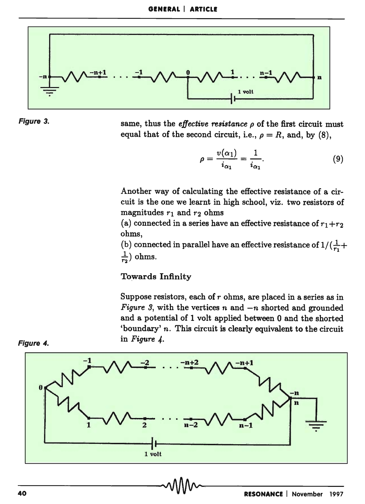



same, thus the *effective resistance*  $\rho$  of the first circuit must equal that of the second circuit, i.e.,  $\rho = R$ , and, by (8),

$$
\rho = \frac{v(\alpha_1)}{i_{\alpha_1}} = \frac{1}{i_{\alpha_1}}.\tag{9}
$$

Another way of calculating the effective resistance of a circuit is the one we learnt in high school, viz. two resistors of magnitudes  $r_1$  and  $r_2$  ohms

(a) connected in a series have an effective resistance of  $r_1 + r_2$ ohms,

(b) connected in parallel have an effective resistance of  $1/(\frac{1}{r_1} +$  $\frac{1}{r_0}$ ) ohms.

Towards Infinity

Suppose resistors, each of  $r$  ohms, are placed in a series as in *Figure 3*, with the vertices  $n$  and  $-n$  shorted and grounded and a potential of 1 volt applied between 0 and the shorted 'boundary' *n.* This circuit is clearly equivalent to the circuit in *Figure 4.* 



Figure 4.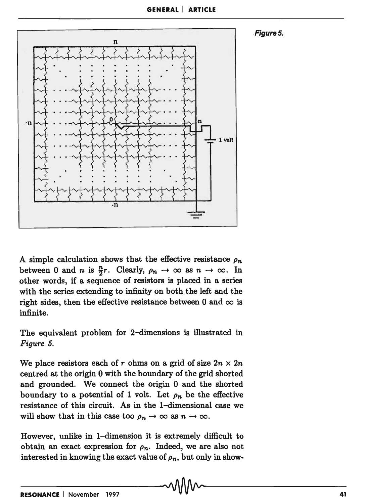



A simple calculation shows that the effective resistance  $\rho_n$ between 0 and *n* is  $\frac{n}{2}r$ . Clearly,  $\rho_n \to \infty$  as  $n \to \infty$ . In other words, if a sequence of resistors is placed in a series with the series extending to infinity on both the left and the right sides, then the effective resistance between 0 and  $\infty$  is infinite.

The equivalent problem for 2-dimensions is illustrated in *Figure 5.* 

We place resistors each of r ohms on a grid of size  $2n \times 2n$ centred at the origin 0 with the boundary of the grid shorted and grounded. We connect the origin 0 and the shorted boundary to a potential of 1 volt. Let  $\rho_n$  be the effective resistance of this circuit. As in the I-dimensional case we will show that in this case too  $\rho_n \to \infty$  as  $n \to \infty$ .

However, unlike in I-dimension it is extremely difficult to obtain an exact expression for  $\rho_n$ . Indeed, we are also not interested in knowing the exact value of  $\rho_n$ , but only in show-

 $\overline{\phantom{a}}$  -  $\overline{\phantom{a}}$  -  $\overline{\phantom{a}}$   $\overline{\phantom{a}}$   $\overline{\phantom{a}}$   $\overline{\phantom{a}}$   $\overline{\phantom{a}}$   $\overline{\phantom{a}}$   $\overline{\phantom{a}}$   $\overline{\phantom{a}}$   $\overline{\phantom{a}}$   $\overline{\phantom{a}}$   $\overline{\phantom{a}}$   $\overline{\phantom{a}}$   $\overline{\phantom{a}}$   $\overline{\phantom{a}}$   $\overline{\phantom{a}}$   $\overline{\phantom{a}}$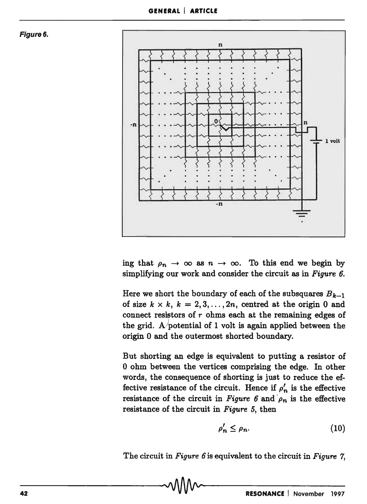



ing that  $\rho_n \to \infty$  as  $n \to \infty$ . To this end we begin by simplifying our work and consider the circuit as in *Figure 6.* 

Here we short the boundary of each of the subsquares  $B_{k-1}$ of size  $k \times k$ ,  $k = 2, 3, ..., 2n$ , centred at the origin 0 and connect resistors of  $r$  ohms each at the remaining edges of the grid. A potential of 1 volt is again applied between the origin 0 and the outermost shorted boundary.

But shorting an edge is equivalent to putting a resistor of o ohm between the vertices comprising the edge. In other words, the consequence of shorting is just to reduce the effective resistance of the circuit. Hence if  $\rho'_n$  is the effective resistance of the circuit in *Figure 6* and  $\rho_n$  is the effective resistance of the circuit in *Figure* 5, then

$$
\rho'_n \le \rho_n. \tag{10}
$$

The circuit in *Figure 6* is equivalent to the circuit in *Figure 7*,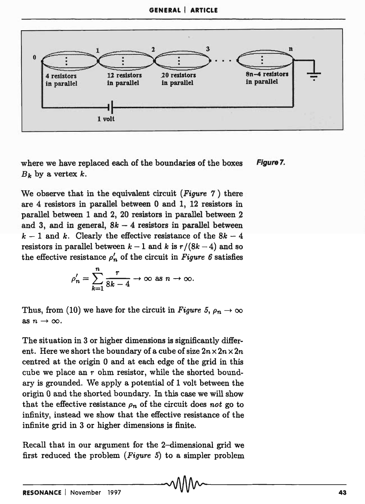

where we have replaced each of the boundaries of the boxes  $B_k$  by a vertex  $k$ . Figure 7.

We observe that in the equivalent circuit *(Figure* 7) there are 4 resistors in parallel between 0 and 1, 12 resistors in parallel between 1 and 2, 20 resistors in parallel between 2 and 3, and in general,  $8k - 4$  resistors in parallel between  $k-1$  and k. Clearly the effective resistance of the  $8k-4$ resistors in parallel between  $k-1$  and k is  $r/(8k-4)$  and so the effective resistance  $\rho'_n$  of the circuit in *Figure 6* satisfies

$$
\rho'_n = \sum_{k=1}^n \frac{r}{8k-4} \to \infty \text{ as } n \to \infty.
$$

Thus, from (10) we have for the circuit in *Figure 5*,  $\rho_n \to \infty$ as  $n \rightarrow \infty$ .

The situation in 3 or higher dimensions is significantly different. Here we short the boundary of a cube of size  $2n \times 2n \times 2n$ centred at the origin 0 and at each edge of the grid in this cube we place an  $r$  ohm resistor, while the shorted boundary is grounded. We apply a potential of 1 volt between the origin 0 and the shorted boundary. In this case we will show that the effective resistance  $\rho_n$  of the circuit does *not* go to infinity, instead we show that the effective resistance of the infinite grid in 3 or higher dimensions is finite.

Recall that in our argument for the 2-dimensional grid we first reduced the problem *(Figure* 5) to a simpler problem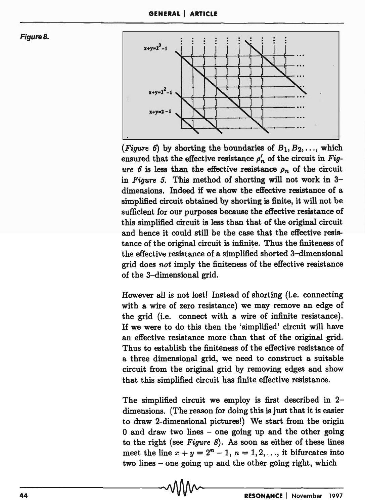Figure 8.



(*Figure 6*) by shorting the boundaries of  $B_1, B_2, \ldots$ , which ensured that the effective resistance  $\rho'_n$  of the circuit in *Fig*ure  $6$  is less than the effective resistance  $\rho_n$  of the circuit in *Figure* 5. This method of shorting will not work in 3 dimensions. Indeed if we show the effective resistance of a simplified circuit obtained by shorting is finite, it will not be sufficient for our purposes because the effective resistance of this simplified circuit is less than that of the original circuit and hence it could still be the case that the effective resistance of the original circuit is infinite. Thus the finiteness of the effective resistance of a simplified shorted 3-dimensional grid does *not* imply the finiteness of the effective resistance of the 3-dimensional grid.

However all is not lost! Instead of shorting (i.e. connecting with a wire of zero resistance) we may remove an edge of the grid (i.e. connect with a wire of infinite resistance). If we were to do this then the 'simplified' circuit will have an effective resistance more than that of the original grid. Thus to establish the finiteness of the effective resistance of a three dimensional grid, we need to construct a suitable circuit from the original grid by removing edges and show that this simplified circuit has finite effective resistance.

The simplified circuit we employ is first described in 2 dimensions. (The reason for doing this is just that it is easier to draw 2-dimensional pictures!) We start from the origin  $0$  and draw two lines – one going up and the other going to the right (see *Figure* 8). As soon as either of these lines meet the line  $x + y = 2^n - 1$ ,  $n = 1, 2, \ldots$ , it bifurcates into two lines - one going up and the other going right, which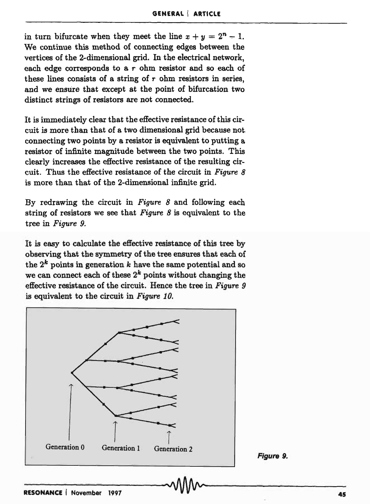in turn bifurcate when they meet the line  $x + y = 2^n - 1$ . We continue this method of connecting edges between the vertices of the 2-dimensional grid. In the electrical network, each edge corresponds to a  $r$  ohm resistor and so each of these lines consists of a string of  $r$  ohm resistors in series, and we ensure that except at the point of bifurcation two distinct strings of resistors are not connected.

It is immediately clear that the effective resistance of this circuit is more than that of a two dimensional grid because not. connecting two points by a resistor is equivalent to putting a resistor of infinite magnitude between the two points. This clearly increases the effective resistance of the resulting circuit. Thus the effective resistance of the circuit in *Figure 8*  is more than that of the 2-dimensional infinite grid.

By redrawing the circuit in *Figure* 8 and following each string of resistors we see that *Figure* 8 is equivalent to the tree in *Figure* 9.

It is easy to calculate the effective resistance of this tree by observing that the symmetry of the tree ensures that each of the  $2^k$  points in generation  $k$  have the same potential and so we can connect each of these  $2^k$  points without changing the effective resistance of the circuit. Hence the tree in *Figure* 9 is equivalent to the circuit in *Figure 10.* 

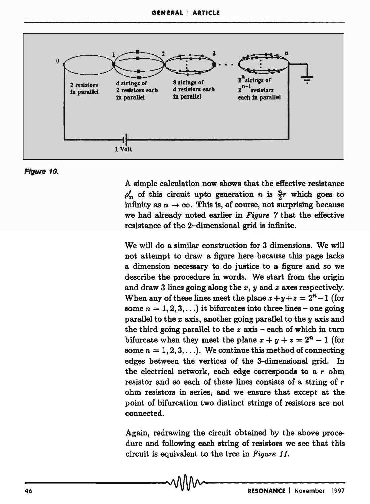

#### Figure 10.

A simple calculation now shows that the effective resistance  $\rho'_n$  of this circuit upto generation *n* is  $\frac{n}{2}r$  which goes to infinity as  $n \to \infty$ . This is, of course, not surprising because we had already noted earlier in *Figure* 7 that the effective resistance of the 2-dimensional grid is infinite.

We will do a similar construction for 3 dimensions. We will not attempt to draw a figure here because this page lacks a dimension necessary to do justice to a figure and so we describe the procedure in words. We start from the origin and draw 3 lines going along the *x, y* and *z* axes respectively. When any of these lines meet the plane  $x+y+z=2<sup>n</sup>-1$  (for some  $n = 1, 2, 3, \ldots$  it bifurcates into three lines – one going parallel to the *x* axis, another going parallel to the y axis and the third going parallel to the  $z$  axis  $-$  each of which in turn bifurcate when they meet the plane  $x + y + z = 2<sup>n</sup> - 1$  (for some  $n = 1, 2, 3, \ldots$ ). We continue this method of connecting edges between the vertices of the 3-dimensional grid. In the electrical network, each edge corresponds to a  $r$  ohm resistor and so each of these lines consists of a string of r ohm resistors in series, and we ensure that except at the point of bifurcation two distinct strings of resistors are not connected.

Again, redrawing the circuit obtained by the above procedure and following each string of resistors we see that this circuit is equivalent to the tree in *Figure 11.*